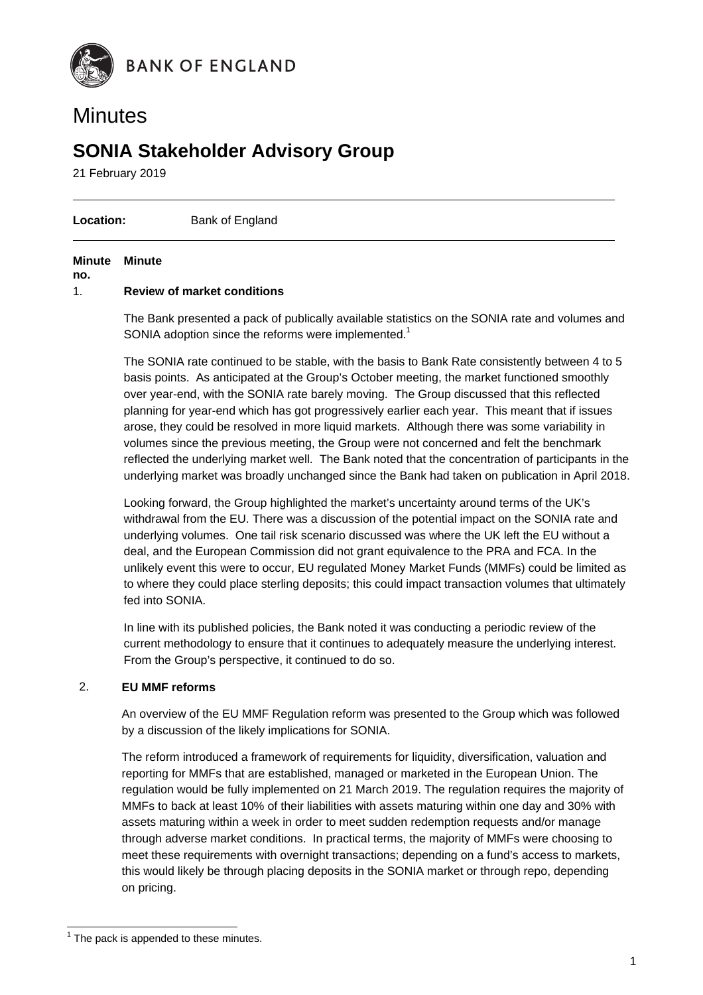

# **Minutes**

# **SONIA Stakeholder Advisory Group**

21 February 2019

**Location:** Bank of England

#### **Minute Minute**

**no.** 

#### 1. **Review of market conditions**

The Bank presented a pack of publically available statistics on the SONIA rate and volumes and SONIA adoption since the reforms were implemented. $1$ 

The SONIA rate continued to be stable, with the basis to Bank Rate consistently between 4 to 5 basis points. As anticipated at the Group's October meeting, the market functioned smoothly over year-end, with the SONIA rate barely moving. The Group discussed that this reflected planning for year-end which has got progressively earlier each year. This meant that if issues arose, they could be resolved in more liquid markets. Although there was some variability in volumes since the previous meeting, the Group were not concerned and felt the benchmark reflected the underlying market well. The Bank noted that the concentration of participants in the underlying market was broadly unchanged since the Bank had taken on publication in April 2018.

Looking forward, the Group highlighted the market's uncertainty around terms of the UK's withdrawal from the EU. There was a discussion of the potential impact on the SONIA rate and underlying volumes. One tail risk scenario discussed was where the UK left the EU without a deal, and the European Commission did not grant equivalence to the PRA and FCA. In the unlikely event this were to occur, EU regulated Money Market Funds (MMFs) could be limited as to where they could place sterling deposits; this could impact transaction volumes that ultimately fed into SONIA.

In line with its published policies, the Bank noted it was conducting a periodic review of the current methodology to ensure that it continues to adequately measure the underlying interest. From the Group's perspective, it continued to do so.

#### 2. **EU MMF reforms**

An overview of the EU MMF Regulation reform was presented to the Group which was followed by a discussion of the likely implications for SONIA.

The reform introduced a framework of requirements for liquidity, diversification, valuation and reporting for MMFs that are established, managed or marketed in the European Union. The regulation would be fully implemented on 21 March 2019. The regulation requires the majority of MMFs to back at least 10% of their liabilities with assets maturing within one day and 30% with assets maturing within a week in order to meet sudden redemption requests and/or manage through adverse market conditions. In practical terms, the majority of MMFs were choosing to meet these requirements with overnight transactions; depending on a fund's access to markets, this would likely be through placing deposits in the SONIA market or through repo, depending on pricing.

**The pack is appended to these minutes.**<br><sup>1</sup> The pack is appended to these minutes.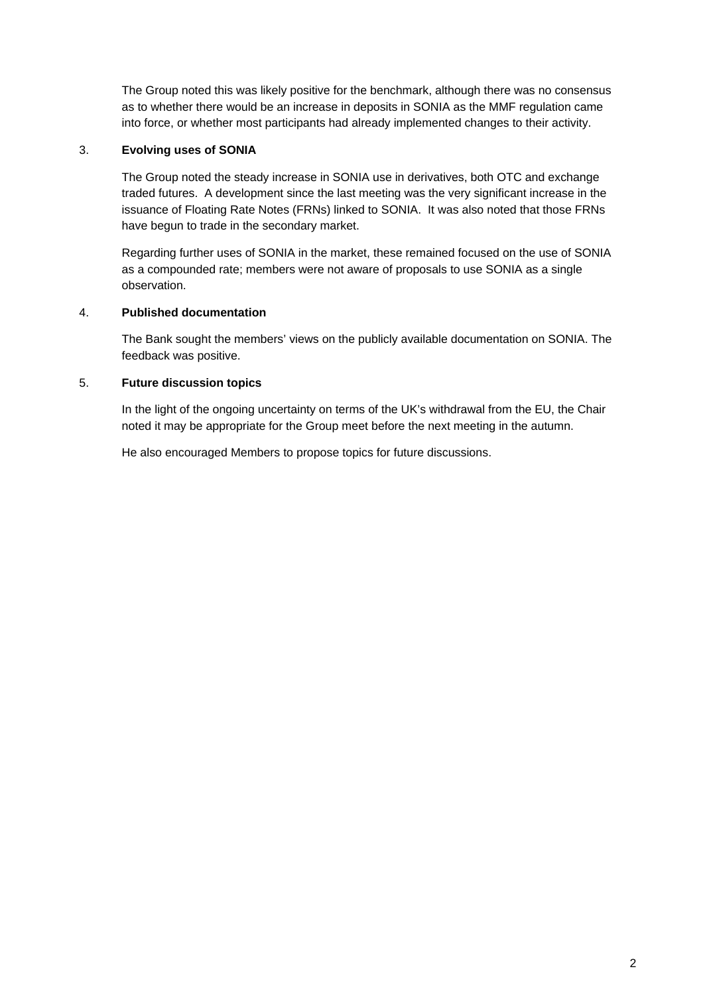The Group noted this was likely positive for the benchmark, although there was no consensus as to whether there would be an increase in deposits in SONIA as the MMF regulation came into force, or whether most participants had already implemented changes to their activity.

#### 3. **Evolving uses of SONIA**

The Group noted the steady increase in SONIA use in derivatives, both OTC and exchange traded futures. A development since the last meeting was the very significant increase in the issuance of Floating Rate Notes (FRNs) linked to SONIA. It was also noted that those FRNs have begun to trade in the secondary market.

Regarding further uses of SONIA in the market, these remained focused on the use of SONIA as a compounded rate; members were not aware of proposals to use SONIA as a single observation.

#### 4. **Published documentation**

The Bank sought the members' views on the publicly available documentation on SONIA. The feedback was positive.

#### 5. **Future discussion topics**

In the light of the ongoing uncertainty on terms of the UK's withdrawal from the EU, the Chair noted it may be appropriate for the Group meet before the next meeting in the autumn.

He also encouraged Members to propose topics for future discussions.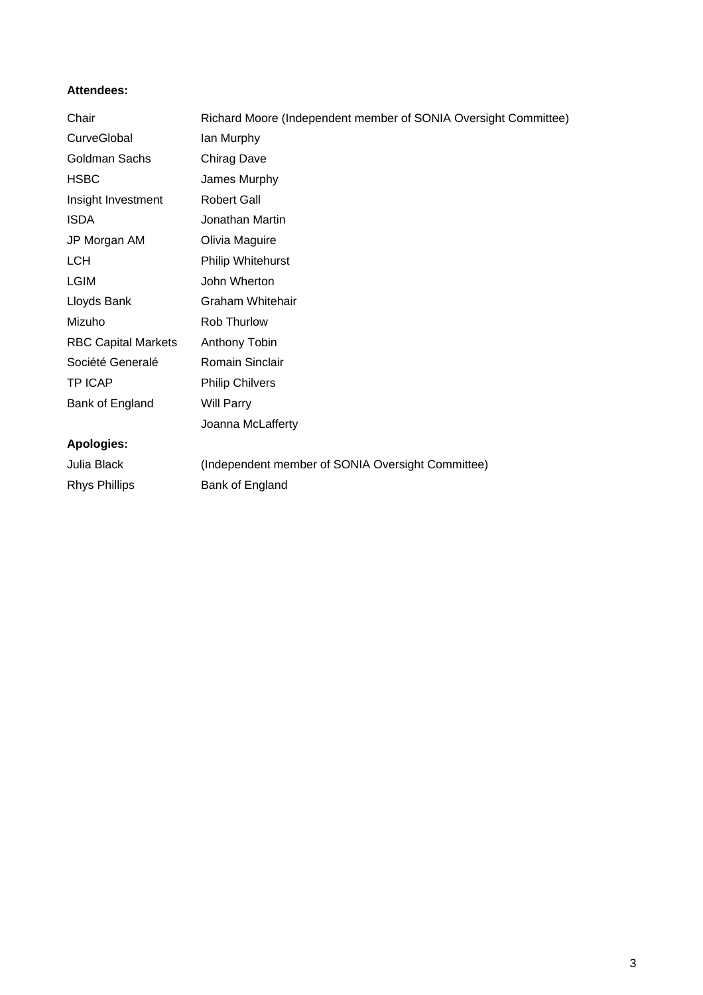### **Attendees:**

| Chair                      | Richard Moore (Independent member of SONIA Oversight Committee) |
|----------------------------|-----------------------------------------------------------------|
| CurveGlobal                | lan Murphy                                                      |
| Goldman Sachs              | <b>Chirag Dave</b>                                              |
| <b>HSBC</b>                | James Murphy                                                    |
| Insight Investment         | <b>Robert Gall</b>                                              |
| <b>ISDA</b>                | Jonathan Martin                                                 |
| JP Morgan AM               | Olivia Maguire                                                  |
| <b>LCH</b>                 | Philip Whitehurst                                               |
| <b>LGIM</b>                | John Wherton                                                    |
| Lloyds Bank                | <b>Graham Whitehair</b>                                         |
| Mizuho                     | Rob Thurlow                                                     |
| <b>RBC Capital Markets</b> | Anthony Tobin                                                   |
| Société Generalé           | Romain Sinclair                                                 |
| <b>TP ICAP</b>             | <b>Philip Chilvers</b>                                          |
| Bank of England            | <b>Will Parry</b>                                               |
|                            | Joanna McLafferty                                               |
| <b>Apologies:</b>          |                                                                 |
| Julia Black                | (Independent member of SONIA Oversight Committee)               |
| <b>Rhys Phillips</b>       | Bank of England                                                 |
|                            |                                                                 |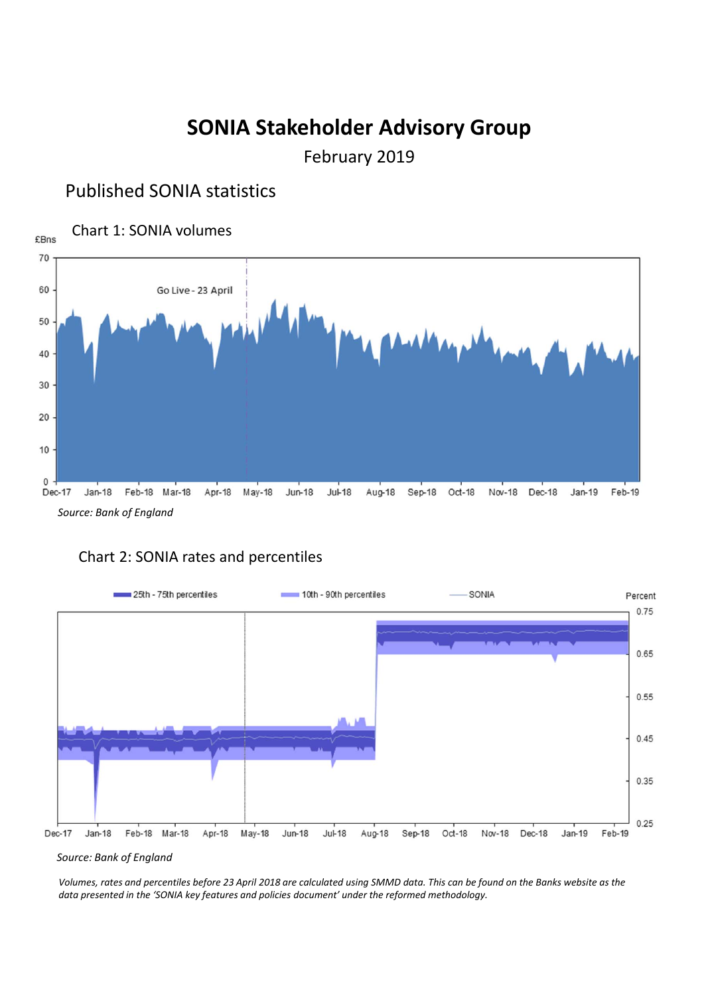# **SONIA Stakeholder Advisory Group**

February 2019

# Published SONIA statistics







*Source: Bank of England*

Volumes, rates and percentiles before 23 April 2018 are calculated using SMMD data. This can be found on the Banks website as the *data presented in the 'SONIA key features and policies document' under the reformed methodology.*